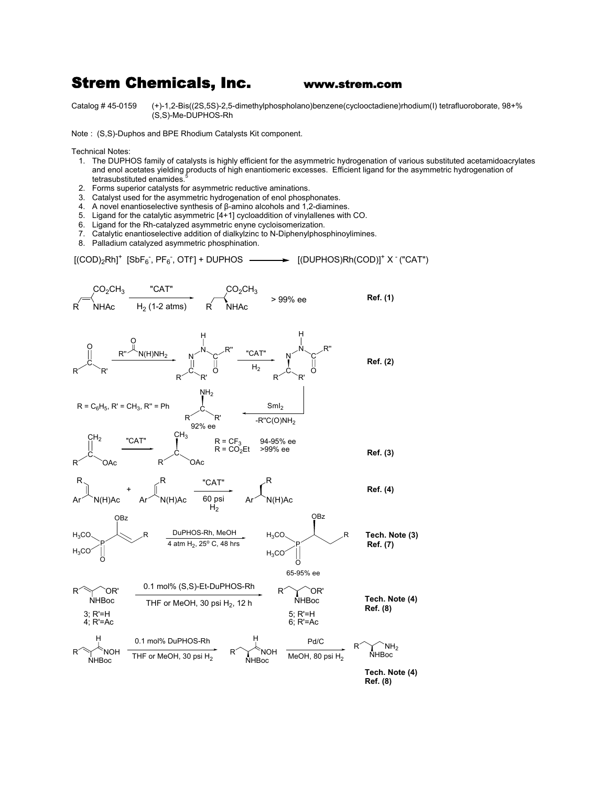## Strem Chemicals, Inc. www.strem.com

Catalog # 45-0159 (+)-1,2-Bis((2S,5S)-2,5-dimethylphospholano)benzene(cyclooctadiene)rhodium(I) tetrafluoroborate, 98+% (S,S)-Me-DUPHOS-Rh

Note : (S,S)-Duphos and BPE Rhodium Catalysts Kit component.

Technical Notes:

- 1. The DUPHOS family of catalysts is highly efficient for the asymmetric hydrogenation of various substituted acetamidoacrylates and enol acetates yielding products of high enantiomeric excesses. Efficient ligand for the asymmetric hydrogenation of tetrasubstituted enamides.<sup>5</sup>
- 2. Forms superior catalysts for asymmetric reductive aminations.
- 3. Catalyst used for the asymmetric hydrogenation of enol phosphonates.
- 4. A novel enantioselective synthesis of β-amino alcohols and 1,2-diamines.
- 5. Ligand for the catalytic asymmetric [4+1] cycloaddition of vinylallenes with CO.
- 6. Ligand for the Rh-catalyzed asymmetric enyne cycloisomerization.
- 7. Catalytic enantioselective addition of dialkylzinc to N-Diphenylphosphinoylimines.
- 8. Palladium catalyzed asymmetric phosphination.

 $[(\text{COD})_2 \text{Rh}]^+$  [SbF<sub>6</sub><sup>-</sup>, PF<sub>6</sub><sup>-</sup>, OTf  $\rightarrow$  [(DUPHOS)Rh(COD)]<sup>+</sup> X <sup>-</sup> ("CAT")

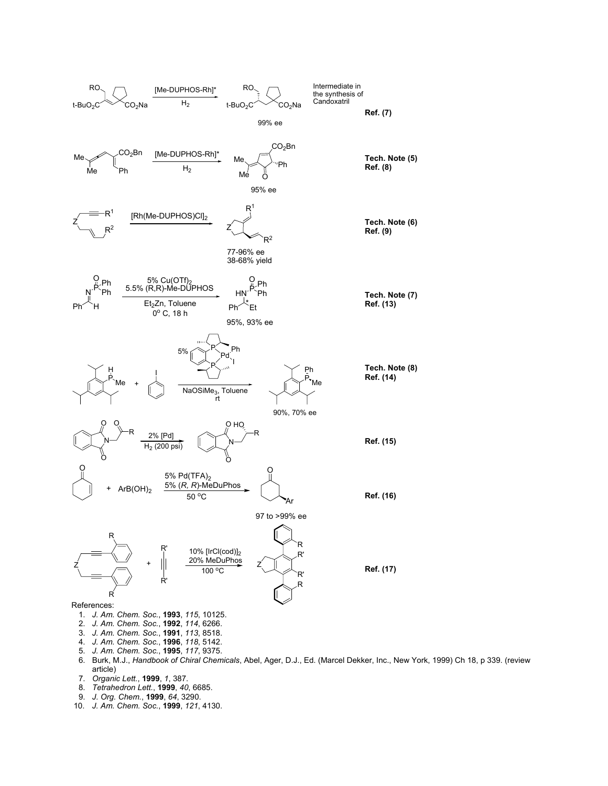

- 6. Burk, M.J., *Handbook of Chiral Chemicals*, Abel, Ager, D.J., Ed. (Marcel Dekker, Inc., New York, 1999) Ch 18, p 339. (review article)
- 7. *Organic Lett.*, **1999**, *1*, 387.
- 8. *Tetrahedron Lett.*, **1999**, *40*, 6685.
- 9. *J. Org. Chem.*, **1999**, *64*, 3290.
- 10. *J. Am. Chem. Soc.*, **1999**, *121*, 4130.